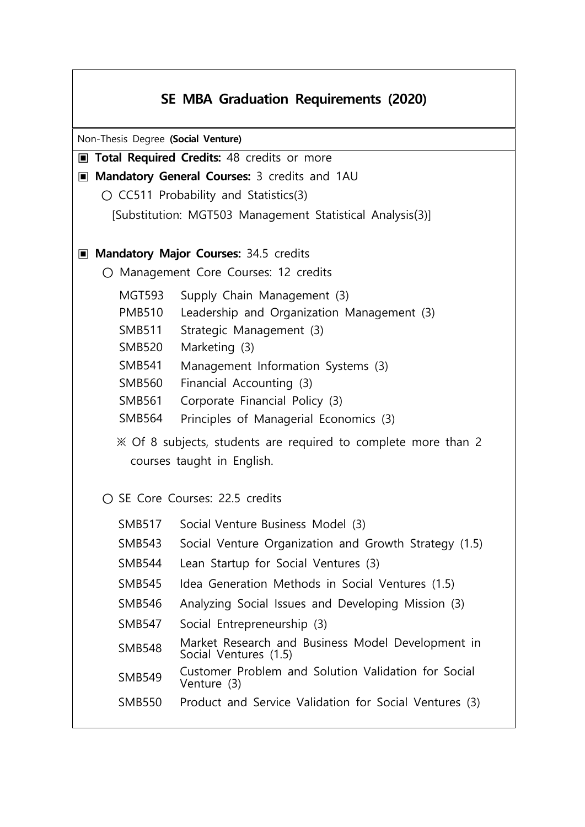## **SE MBA Graduation Requirements (2020)**

Non-Thesis Degree **(Social Venture)** 

- **▣ Total Required Credits:** 48 credits or more
- ▣ **Mandatory General Courses:** 3 credits and 1AU
	- CC511 Probability and Statistics(3)
		- [Substitution: MGT503 Management Statistical Analysis(3)]

## ▣ **Mandatory Major Courses:** 34.5 credits

- **○** Management Core Courses: 12 credits
	- MGT593 Supply Chain Management (3)
	- PMB510 Leadership and Organization Management (3)
	- SMB511 Strategic Management (3)
	- SMB520 Marketing (3)
	- SMB541 Management Information Systems (3)
	- SMB560 Financial Accounting (3)
	- SMB561 Corporate Financial Policy (3)
	- SMB564 Principles of Managerial Economics (3)
	- ※ Of 8 subjects, students are required to complete more than 2 courses taught in English.
- **○** SE Core Courses: 22.5 credits
	- SMB517 Social Venture Business Model (3)
	- SMB543 Social Venture Organization and Growth Strategy (1.5)
	- SMB544 Lean Startup for Social Ventures (3)
	- SMB545 Idea Generation Methods in Social Ventures (1.5)
	- SMB546 Analyzing Social Issues and Developing Mission (3)
	- SMB547 Social Entrepreneurship (3)
	- SMB548 Market Research and Business Model Development in Social Ventures (1.5)
	- SMB549 Customer Problem and Solution Validation for Social Venture (3)
	- SMB550 Product and Service Validation for Social Ventures (3)